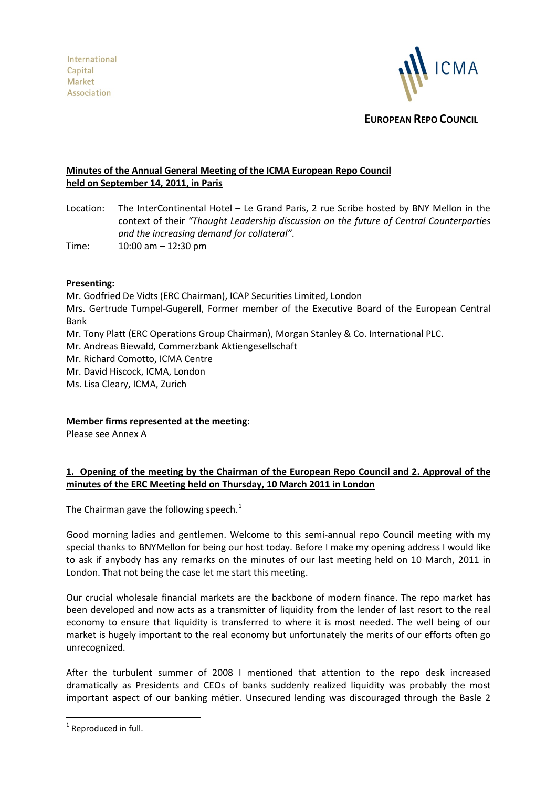

**EUROPEAN REPO COUNCIL**

# **Minutes of the Annual General Meeting of the ICMA European Repo Council held on September 14, 2011, in Paris**

Location: The InterContinental Hotel – Le Grand Paris, 2 rue Scribe hosted by BNY Mellon in the context of their *"Thought Leadership discussion on the future of Central Counterparties and the increasing demand for collateral"*.

Time: 10:00 am – 12:30 pm

### **Presenting:**

Mr. Godfried De Vidts (ERC Chairman), ICAP Securities Limited, London Mrs. Gertrude Tumpel-Gugerell, Former member of the Executive Board of the European Central Bank Mr. Tony Platt (ERC Operations Group Chairman), Morgan Stanley & Co. International PLC. Mr. Andreas Biewald, Commerzbank Aktiengesellschaft Mr. Richard Comotto, ICMA Centre Mr. David Hiscock, ICMA, London Ms. Lisa Cleary, ICMA, Zurich

**Member firms represented at the meeting:**

Please see Annex A

# **1. Opening of the meeting by the Chairman of the European Repo Council and 2. Approval of the minutes of the ERC Meeting held on Thursday, 10 March 2011 in London**

The Chairman gave the following speech.<sup>[1](#page-0-0)</sup>

Good morning ladies and gentlemen. Welcome to this semi-annual repo Council meeting with my special thanks to BNYMellon for being our host today. Before I make my opening address I would like to ask if anybody has any remarks on the minutes of our last meeting held on 10 March, 2011 in London. That not being the case let me start this meeting.

Our crucial wholesale financial markets are the backbone of modern finance. The repo market has been developed and now acts as a transmitter of liquidity from the lender of last resort to the real economy to ensure that liquidity is transferred to where it is most needed. The well being of our market is hugely important to the real economy but unfortunately the merits of our efforts often go unrecognized.

After the turbulent summer of 2008 I mentioned that attention to the repo desk increased dramatically as Presidents and CEOs of banks suddenly realized liquidity was probably the most important aspect of our banking métier. Unsecured lending was discouraged through the Basle 2

<span id="page-0-1"></span><span id="page-0-0"></span> $1$  Reproduced in full.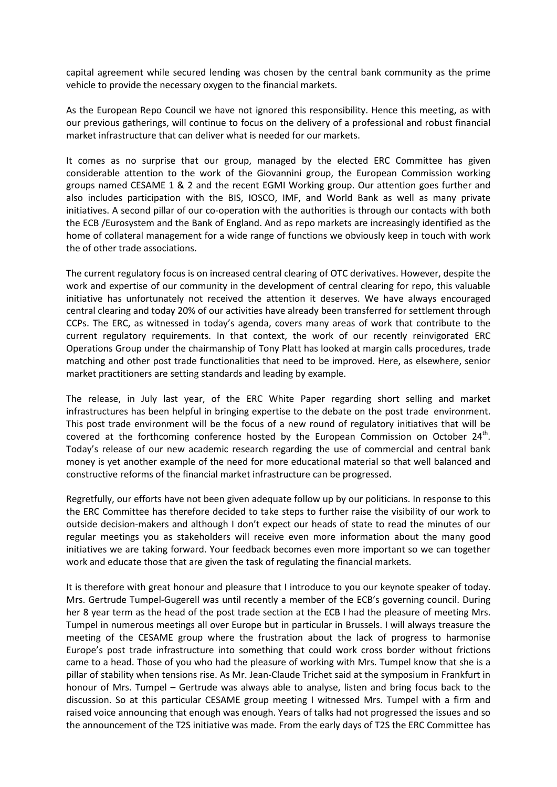capital agreement while secured lending was chosen by the central bank community as the prime vehicle to provide the necessary oxygen to the financial markets.

As the European Repo Council we have not ignored this responsibility. Hence this meeting, as with our previous gatherings, will continue to focus on the delivery of a professional and robust financial market infrastructure that can deliver what is needed for our markets.

It comes as no surprise that our group, managed by the elected ERC Committee has given considerable attention to the work of the Giovannini group, the European Commission working groups named CESAME 1 & 2 and the recent EGMI Working group. Our attention goes further and also includes participation with the BIS, IOSCO, IMF, and World Bank as well as many private initiatives. A second pillar of our co-operation with the authorities is through our contacts with both the ECB /Eurosystem and the Bank of England. And as repo markets are increasingly identified as the home of collateral management for a wide range of functions we obviously keep in touch with work the of other trade associations.

The current regulatory focus is on increased central clearing of OTC derivatives. However, despite the work and expertise of our community in the development of central clearing for repo, this valuable initiative has unfortunately not received the attention it deserves. We have always encouraged central clearing and today 20% of our activities have already been transferred for settlement through CCPs. The ERC, as witnessed in today's agenda, covers many areas of work that contribute to the current regulatory requirements. In that context, the work of our recently reinvigorated ERC Operations Group under the chairmanship of Tony Platt has looked at margin calls procedures, trade matching and other post trade functionalities that need to be improved. Here, as elsewhere, senior market practitioners are setting standards and leading by example.

The release, in July last year, of the ERC White Paper regarding short selling and market infrastructures has been helpful in bringing expertise to the debate on the post trade environment. This post trade environment will be the focus of a new round of regulatory initiatives that will be covered at the forthcoming conference hosted by the European Commission on October  $24<sup>th</sup>$ . Today's release of our new academic research regarding the use of commercial and central bank money is yet another example of the need for more educational material so that well balanced and constructive reforms of the financial market infrastructure can be progressed.

Regretfully, our efforts have not been given adequate follow up by our politicians. In response to this the ERC Committee has therefore decided to take steps to further raise the visibility of our work to outside decision-makers and although I don't expect our heads of state to read the minutes of our regular meetings you as stakeholders will receive even more information about the many good initiatives we are taking forward. Your feedback becomes even more important so we can together work and educate those that are given the task of regulating the financial markets.

It is therefore with great honour and pleasure that I introduce to you our keynote speaker of today. Mrs. Gertrude Tumpel-Gugerell was until recently a member of the ECB's governing council. During her 8 year term as the head of the post trade section at the ECB I had the pleasure of meeting Mrs. Tumpel in numerous meetings all over Europe but in particular in Brussels. I will always treasure the meeting of the CESAME group where the frustration about the lack of progress to harmonise Europe's post trade infrastructure into something that could work cross border without frictions came to a head. Those of you who had the pleasure of working with Mrs. Tumpel know that she is a pillar of stability when tensions rise. As Mr. Jean-Claude Trichet said at the symposium in Frankfurt in honour of Mrs. Tumpel – Gertrude was always able to analyse, listen and bring focus back to the discussion. So at this particular CESAME group meeting I witnessed Mrs. Tumpel with a firm and raised voice announcing that enough was enough. Years of talks had not progressed the issues and so the announcement of the T2S initiative was made. From the early days of T2S the ERC Committee has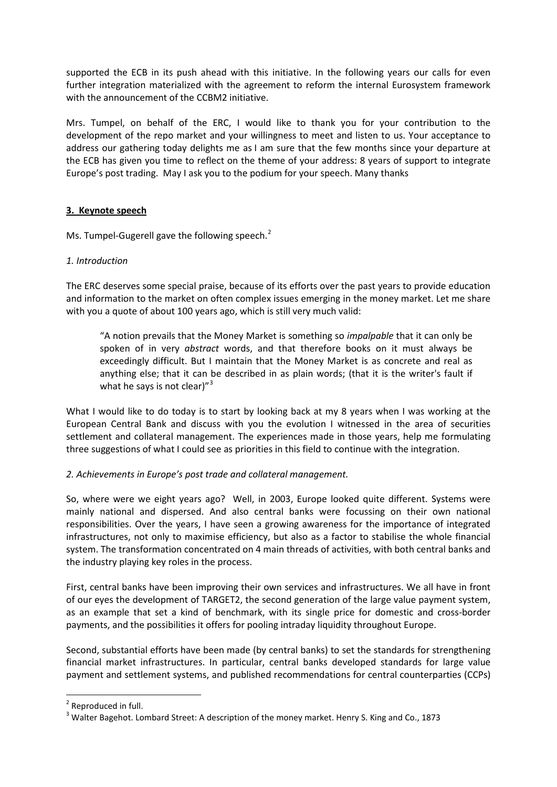supported the ECB in its push ahead with this initiative. In the following years our calls for even further integration materialized with the agreement to reform the internal Eurosystem framework with the announcement of the CCBM2 initiative.

Mrs. Tumpel, on behalf of the ERC, I would like to thank you for your contribution to the development of the repo market and your willingness to meet and listen to us. Your acceptance to address our gathering today delights me as I am sure that the few months since your departure at the ECB has given you time to reflect on the theme of your address: 8 years of support to integrate Europe's post trading. May I ask you to the podium for your speech. Many thanks

# **3. Keynote speech**

Ms. Tumpel-Gugerell gave the following speech.<sup>[2](#page-0-1)</sup>

# *1. Introduction*

The ERC deserves some special praise, because of its efforts over the past years to provide education and information to the market on often complex issues emerging in the money market. Let me share with you a quote of about 100 years ago, which is still very much valid:

"A notion prevails that the Money Market is something so *impalpable* that it can only be spoken of in very *abstract* words, and that therefore books on it must always be exceedingly difficult. But I maintain that the Money Market is as concrete and real as anything else; that it can be described in as plain words; (that it is the writer's fault if what he says is not clear) $^{\prime\prime}$ <sup>[3](#page-2-0)</sup>

What I would like to do today is to start by looking back at my 8 years when I was working at the European Central Bank and discuss with you the evolution I witnessed in the area of securities settlement and collateral management. The experiences made in those years, help me formulating three suggestions of what I could see as priorities in this field to continue with the integration.

# *2. Achievements in Europe's post trade and collateral management.*

So, where were we eight years ago? Well, in 2003, Europe looked quite different. Systems were mainly national and dispersed. And also central banks were focussing on their own national responsibilities. Over the years, I have seen a growing awareness for the importance of integrated infrastructures, not only to maximise efficiency, but also as a factor to stabilise the whole financial system. The transformation concentrated on 4 main threads of activities, with both central banks and the industry playing key roles in the process.

First, central banks have been improving their own services and infrastructures. We all have in front of our eyes the development of TARGET2, the second generation of the large value payment system, as an example that set a kind of benchmark, with its single price for domestic and cross-border payments, and the possibilities it offers for pooling intraday liquidity throughout Europe.

Second, substantial efforts have been made (by central banks) to set the standards for strengthening financial market infrastructures. In particular, central banks developed standards for large value payment and settlement systems, and published recommendations for central counterparties (CCPs)

<span id="page-2-1"></span> <sup>2</sup> Reproduced in full.

<span id="page-2-0"></span> $3$  Walter Bagehot. Lombard Street: A description of the money market. Henry S. King and Co., 1873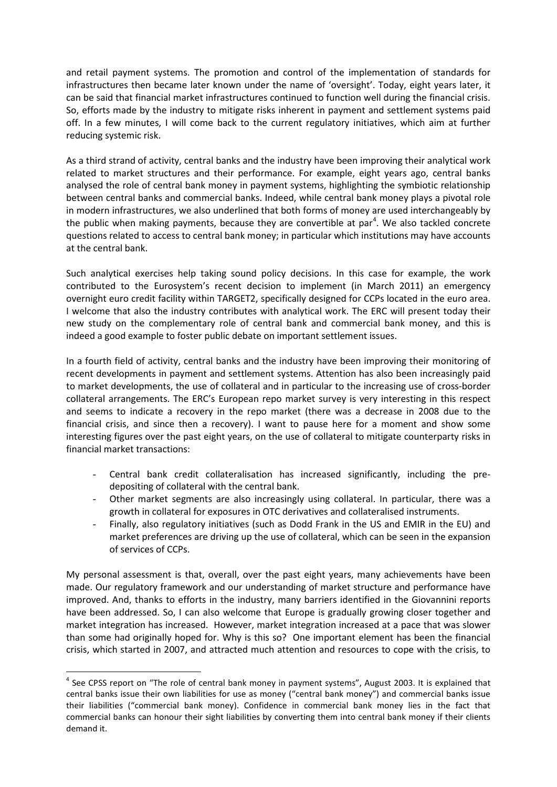and retail payment systems. The promotion and control of the implementation of standards for infrastructures then became later known under the name of 'oversight'. Today, eight years later, it can be said that financial market infrastructures continued to function well during the financial crisis. So, efforts made by the industry to mitigate risks inherent in payment and settlement systems paid off. In a few minutes, I will come back to the current regulatory initiatives, which aim at further reducing systemic risk.

As a third strand of activity, central banks and the industry have been improving their analytical work related to market structures and their performance. For example, eight years ago, central banks analysed the role of central bank money in payment systems, highlighting the symbiotic relationship between central banks and commercial banks. Indeed, while central bank money plays a pivotal role in modern infrastructures, we also underlined that both forms of money are used interchangeably by the public when making payments, because they are convertible at par<sup>[4](#page-2-1)</sup>. We also tackled concrete questions related to access to central bank money; in particular which institutions may have accounts at the central bank.

Such analytical exercises help taking sound policy decisions. In this case for example, the work contributed to the Eurosystem's recent decision to implement (in March 2011) an emergency overnight euro credit facility within TARGET2, specifically designed for CCPs located in the euro area. I welcome that also the industry contributes with analytical work. The ERC will present today their new study on the complementary role of central bank and commercial bank money, and this is indeed a good example to foster public debate on important settlement issues.

In a fourth field of activity, central banks and the industry have been improving their monitoring of recent developments in payment and settlement systems. Attention has also been increasingly paid to market developments, the use of collateral and in particular to the increasing use of cross-border collateral arrangements. The ERC's European repo market survey is very interesting in this respect and seems to indicate a recovery in the repo market (there was a decrease in 2008 due to the financial crisis, and since then a recovery). I want to pause here for a moment and show some interesting figures over the past eight years, on the use of collateral to mitigate counterparty risks in financial market transactions:

- Central bank credit collateralisation has increased significantly, including the predepositing of collateral with the central bank.
- Other market segments are also increasingly using collateral. In particular, there was a growth in collateral for exposures in OTC derivatives and collateralised instruments.
- Finally, also regulatory initiatives (such as Dodd Frank in the US and EMIR in the EU) and market preferences are driving up the use of collateral, which can be seen in the expansion of services of CCPs.

My personal assessment is that, overall, over the past eight years, many achievements have been made. Our regulatory framework and our understanding of market structure and performance have improved. And, thanks to efforts in the industry, many barriers identified in the Giovannini reports have been addressed. So, I can also welcome that Europe is gradually growing closer together and market integration has increased. However, market integration increased at a pace that was slower than some had originally hoped for. Why is this so? One important element has been the financial crisis, which started in 2007, and attracted much attention and resources to cope with the crisis, to

<span id="page-3-0"></span><sup>&</sup>lt;sup>4</sup> See CPSS report on "The role of central bank money in payment systems", August 2003. It is explained that central banks issue their own liabilities for use as money ("central bank money") and commercial banks issue their liabilities ("commercial bank money). Confidence in commercial bank money lies in the fact that commercial banks can honour their sight liabilities by converting them into central bank money if their clients demand it.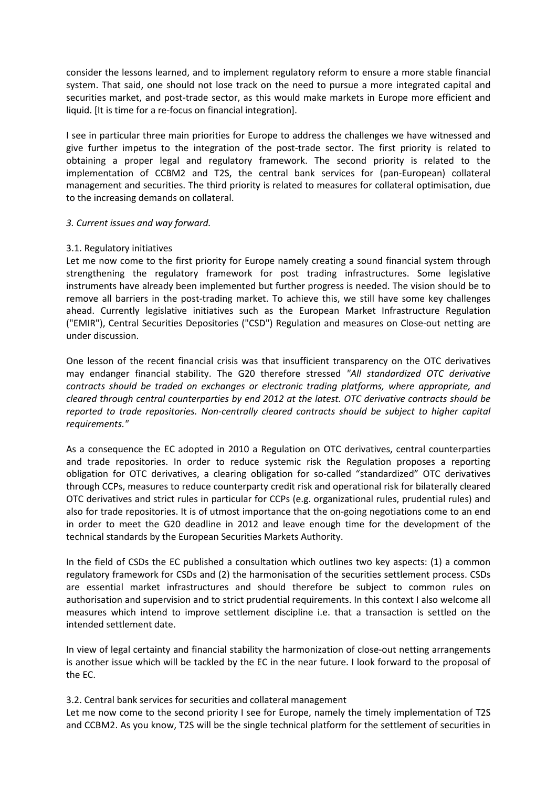consider the lessons learned, and to implement regulatory reform to ensure a more stable financial system. That said, one should not lose track on the need to pursue a more integrated capital and securities market, and post-trade sector, as this would make markets in Europe more efficient and liquid. [It is time for a re-focus on financial integration].

I see in particular three main priorities for Europe to address the challenges we have witnessed and give further impetus to the integration of the post-trade sector. The first priority is related to obtaining a proper legal and regulatory framework. The second priority is related to the implementation of CCBM2 and T2S, the central bank services for (pan-European) collateral management and securities. The third priority is related to measures for collateral optimisation, due to the increasing demands on collateral.

### *3. Current issues and way forward.*

### 3.1. Regulatory initiatives

Let me now come to the first priority for Europe namely creating a sound financial system through strengthening the regulatory framework for post trading infrastructures. Some legislative instruments have already been implemented but further progress is needed. The vision should be to remove all barriers in the post-trading market. To achieve this, we still have some key challenges ahead. Currently legislative initiatives such as the European Market Infrastructure Regulation ("EMIR"), Central Securities Depositories ("CSD") Regulation and measures on Close-out netting are under discussion.

One lesson of the recent financial crisis was that insufficient transparency on the OTC derivatives may endanger financial stability. The G20 therefore stressed *"All standardized OTC derivative contracts should be traded on exchanges or electronic trading platforms, where appropriate, and cleared through central counterparties by end 2012 at the latest. OTC derivative contracts should be reported to trade repositories. Non-centrally cleared contracts should be subject to higher capital requirements."*

As a consequence the EC adopted in 2010 a Regulation on OTC derivatives, central counterparties and trade repositories. In order to reduce systemic risk the Regulation proposes a reporting obligation for OTC derivatives, a clearing obligation for so-called "standardized" OTC derivatives through CCPs, measures to reduce counterparty credit risk and operational risk for bilaterally cleared OTC derivatives and strict rules in particular for CCPs (e.g. organizational rules, prudential rules) and also for trade repositories. It is of utmost importance that the on-going negotiations come to an end in order to meet the G20 deadline in 2012 and leave enough time for the development of the technical standards by the European Securities Markets Authority.

In the field of CSDs the EC published a consultation which outlines two key aspects: (1) a common regulatory framework for CSDs and (2) the harmonisation of the securities settlement process. CSDs are essential market infrastructures and should therefore be subject to common rules on authorisation and supervision and to strict prudential requirements. In this context I also welcome all measures which intend to improve settlement discipline i.e. that a transaction is settled on the intended settlement date.

In view of legal certainty and financial stability the harmonization of close-out netting arrangements is another issue which will be tackled by the EC in the near future. I look forward to the proposal of the EC.

3.2. Central bank services for securities and collateral management

Let me now come to the second priority I see for Europe, namely the timely implementation of T2S and CCBM2. As you know, T2S will be the single technical platform for the settlement of securities in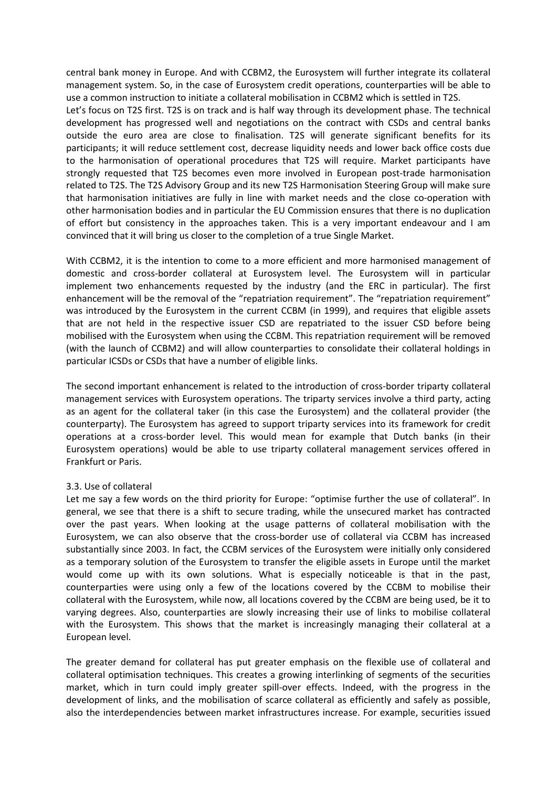central bank money in Europe. And with CCBM2, the Eurosystem will further integrate its collateral management system. So, in the case of Eurosystem credit operations, counterparties will be able to use a common instruction to initiate a collateral mobilisation in CCBM2 which is settled in T2S.

Let's focus on T2S first. T2S is on track and is half way through its development phase. The technical development has progressed well and negotiations on the contract with CSDs and central banks outside the euro area are close to finalisation. T2S will generate significant benefits for its participants; it will reduce settlement cost, decrease liquidity needs and lower back office costs due to the harmonisation of operational procedures that T2S will require. Market participants have strongly requested that T2S becomes even more involved in European post-trade harmonisation related to T2S. The T2S Advisory Group and its new T2S Harmonisation Steering Group will make sure that harmonisation initiatives are fully in line with market needs and the close co-operation with other harmonisation bodies and in particular the EU Commission ensures that there is no duplication of effort but consistency in the approaches taken. This is a very important endeavour and I am convinced that it will bring us closer to the completion of a true Single Market.

With CCBM2, it is the intention to come to a more efficient and more harmonised management of domestic and cross-border collateral at Eurosystem level. The Eurosystem will in particular implement two enhancements requested by the industry (and the ERC in particular). The first enhancement will be the removal of the "repatriation requirement". The "repatriation requirement" was introduced by the Eurosystem in the current CCBM (in 1999), and requires that eligible assets that are not held in the respective issuer CSD are repatriated to the issuer CSD before being mobilised with the Eurosystem when using the CCBM. This repatriation requirement will be removed (with the launch of CCBM2) and will allow counterparties to consolidate their collateral holdings in particular ICSDs or CSDs that have a number of eligible links.

The second important enhancement is related to the introduction of cross-border triparty collateral management services with Eurosystem operations. The triparty services involve a third party, acting as an agent for the collateral taker (in this case the Eurosystem) and the collateral provider (the counterparty). The Eurosystem has agreed to support triparty services into its framework for credit operations at a cross-border level. This would mean for example that Dutch banks (in their Eurosystem operations) would be able to use triparty collateral management services offered in Frankfurt or Paris.

### 3.3. Use of collateral

Let me say a few words on the third priority for Europe: "optimise further the use of collateral". In general, we see that there is a shift to secure trading, while the unsecured market has contracted over the past years. When looking at the usage patterns of collateral mobilisation with the Eurosystem, we can also observe that the cross-border use of collateral via CCBM has increased substantially since 2003. In fact, the CCBM services of the Eurosystem were initially only considered as a temporary solution of the Eurosystem to transfer the eligible assets in Europe until the market would come up with its own solutions. What is especially noticeable is that in the past, counterparties were using only a few of the locations covered by the CCBM to mobilise their collateral with the Eurosystem, while now, all locations covered by the CCBM are being used, be it to varying degrees. Also, counterparties are slowly increasing their use of links to mobilise collateral with the Eurosystem. This shows that the market is increasingly managing their collateral at a European level.

The greater demand for collateral has put greater emphasis on the flexible use of collateral and collateral optimisation techniques. This creates a growing interlinking of segments of the securities market, which in turn could imply greater spill-over effects. Indeed, with the progress in the development of links, and the mobilisation of scarce collateral as efficiently and safely as possible, also the interdependencies between market infrastructures increase. For example, securities issued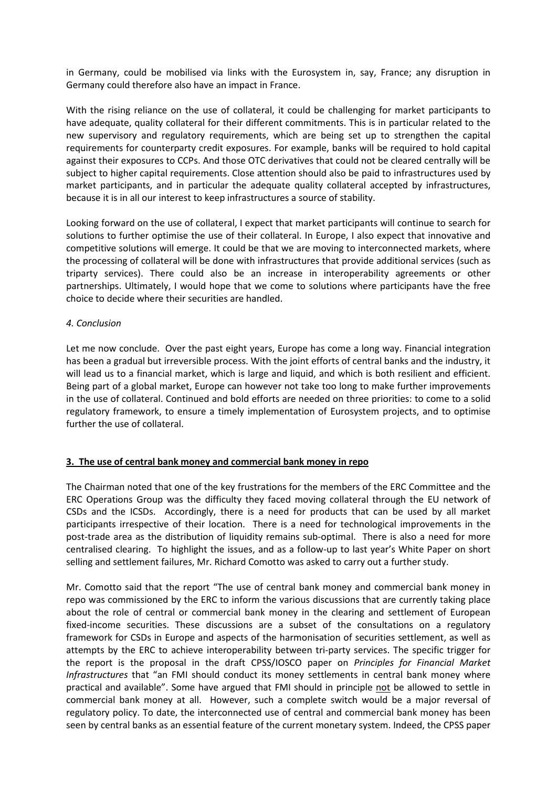in Germany, could be mobilised via links with the Eurosystem in, say, France; any disruption in Germany could therefore also have an impact in France.

With the rising reliance on the use of collateral, it could be challenging for market participants to have adequate, quality collateral for their different commitments. This is in particular related to the new supervisory and regulatory requirements, which are being set up to strengthen the capital requirements for counterparty credit exposures. For example, banks will be required to hold capital against their exposures to CCPs. And those OTC derivatives that could not be cleared centrally will be subject to higher capital requirements. Close attention should also be paid to infrastructures used by market participants, and in particular the adequate quality collateral accepted by infrastructures, because it is in all our interest to keep infrastructures a source of stability.

Looking forward on the use of collateral, I expect that market participants will continue to search for solutions to further optimise the use of their collateral. In Europe, I also expect that innovative and competitive solutions will emerge. It could be that we are moving to interconnected markets, where the processing of collateral will be done with infrastructures that provide additional services (such as triparty services). There could also be an increase in interoperability agreements or other partnerships. Ultimately, I would hope that we come to solutions where participants have the free choice to decide where their securities are handled.

### *4. Conclusion*

Let me now conclude. Over the past eight years, Europe has come a long way. Financial integration has been a gradual but irreversible process. With the joint efforts of central banks and the industry, it will lead us to a financial market, which is large and liquid, and which is both resilient and efficient. Being part of a global market, Europe can however not take too long to make further improvements in the use of collateral. Continued and bold efforts are needed on three priorities: to come to a solid regulatory framework, to ensure a timely implementation of Eurosystem projects, and to optimise further the use of collateral.

### **3. The use of central bank money and commercial bank money in repo**

The Chairman noted that one of the key frustrations for the members of the ERC Committee and the ERC Operations Group was the difficulty they faced moving collateral through the EU network of CSDs and the ICSDs. Accordingly, there is a need for products that can be used by all market participants irrespective of their location. There is a need for technological improvements in the post-trade area as the distribution of liquidity remains sub-optimal. There is also a need for more centralised clearing. To highlight the issues, and as a follow-up to last year's White Paper on short selling and settlement failures, Mr. Richard Comotto was asked to carry out a further study.

Mr. Comotto said that the report "The use of central bank money and commercial bank money in repo was commissioned by the ERC to inform the various discussions that are currently taking place about the role of central or commercial bank money in the clearing and settlement of European fixed-income securities. These discussions are a subset of the consultations on a regulatory framework for CSDs in Europe and aspects of the harmonisation of securities settlement, as well as attempts by the ERC to achieve interoperability between tri-party services. The specific trigger for the report is the proposal in the draft CPSS/IOSCO paper on *Principles for Financial Market Infrastructures* that "an FMI should conduct its money settlements in central bank money where practical and available". Some have argued that FMI should in principle not be allowed to settle in commercial bank money at all. However, such a complete switch would be a major reversal of regulatory policy. To date, the interconnected use of central and commercial bank money has been seen by central banks as an essential feature of the current monetary system. Indeed, the CPSS paper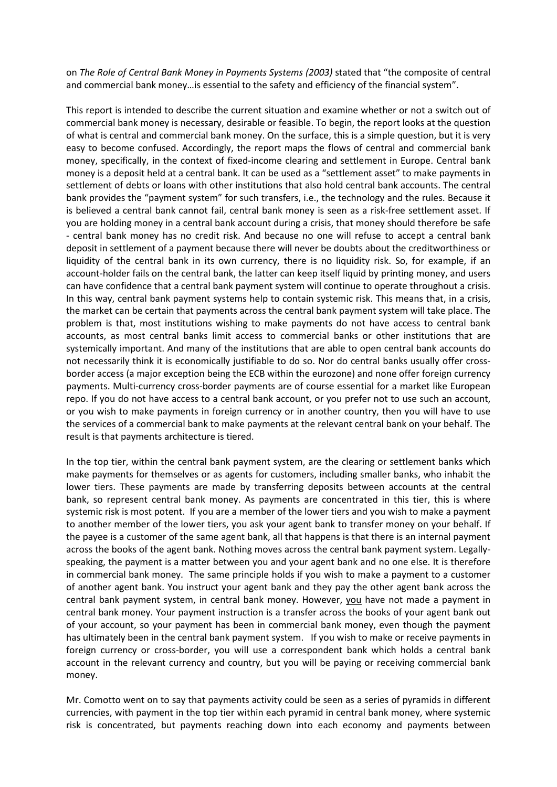on *The Role of Central Bank Money in Payments Systems (2003)* stated that "the composite of central and commercial bank money…is essential to the safety and efficiency of the financial system".

This report is intended to describe the current situation and examine whether or not a switch out of commercial bank money is necessary, desirable or feasible. To begin, the report looks at the question of what is central and commercial bank money. On the surface, this is a simple question, but it is very easy to become confused. Accordingly, the report maps the flows of central and commercial bank money, specifically, in the context of fixed-income clearing and settlement in Europe. Central bank money is a deposit held at a central bank. It can be used as a "settlement asset" to make payments in settlement of debts or loans with other institutions that also hold central bank accounts. The central bank provides the "payment system" for such transfers, i.e., the technology and the rules. Because it is believed a central bank cannot fail, central bank money is seen as a risk-free settlement asset. If you are holding money in a central bank account during a crisis, that money should therefore be safe - central bank money has no credit risk. And because no one will refuse to accept a central bank deposit in settlement of a payment because there will never be doubts about the creditworthiness or liquidity of the central bank in its own currency, there is no liquidity risk. So, for example, if an account-holder fails on the central bank, the latter can keep itself liquid by printing money, and users can have confidence that a central bank payment system will continue to operate throughout a crisis. In this way, central bank payment systems help to contain systemic risk. This means that, in a crisis, the market can be certain that payments across the central bank payment system will take place. The problem is that, most institutions wishing to make payments do not have access to central bank accounts, as most central banks limit access to commercial banks or other institutions that are systemically important. And many of the institutions that are able to open central bank accounts do not necessarily think it is economically justifiable to do so. Nor do central banks usually offer crossborder access (a major exception being the ECB within the eurozone) and none offer foreign currency payments. Multi-currency cross-border payments are of course essential for a market like European repo. If you do not have access to a central bank account, or you prefer not to use such an account, or you wish to make payments in foreign currency or in another country, then you will have to use the services of a commercial bank to make payments at the relevant central bank on your behalf. The result is that payments architecture is tiered.

In the top tier, within the central bank payment system, are the clearing or settlement banks which make payments for themselves or as agents for customers, including smaller banks, who inhabit the lower tiers. These payments are made by transferring deposits between accounts at the central bank, so represent central bank money. As payments are concentrated in this tier, this is where systemic risk is most potent. If you are a member of the lower tiers and you wish to make a payment to another member of the lower tiers, you ask your agent bank to transfer money on your behalf. If the payee is a customer of the same agent bank, all that happens is that there is an internal payment across the books of the agent bank. Nothing moves across the central bank payment system. Legallyspeaking, the payment is a matter between you and your agent bank and no one else. It is therefore in commercial bank money. The same principle holds if you wish to make a payment to a customer of another agent bank. You instruct your agent bank and they pay the other agent bank across the central bank payment system, in central bank money. However, you have not made a payment in central bank money. Your payment instruction is a transfer across the books of your agent bank out of your account, so your payment has been in commercial bank money, even though the payment has ultimately been in the central bank payment system. If you wish to make or receive payments in foreign currency or cross-border, you will use a correspondent bank which holds a central bank account in the relevant currency and country, but you will be paying or receiving commercial bank money.

Mr. Comotto went on to say that payments activity could be seen as a series of pyramids in different currencies, with payment in the top tier within each pyramid in central bank money, where systemic risk is concentrated, but payments reaching down into each economy and payments between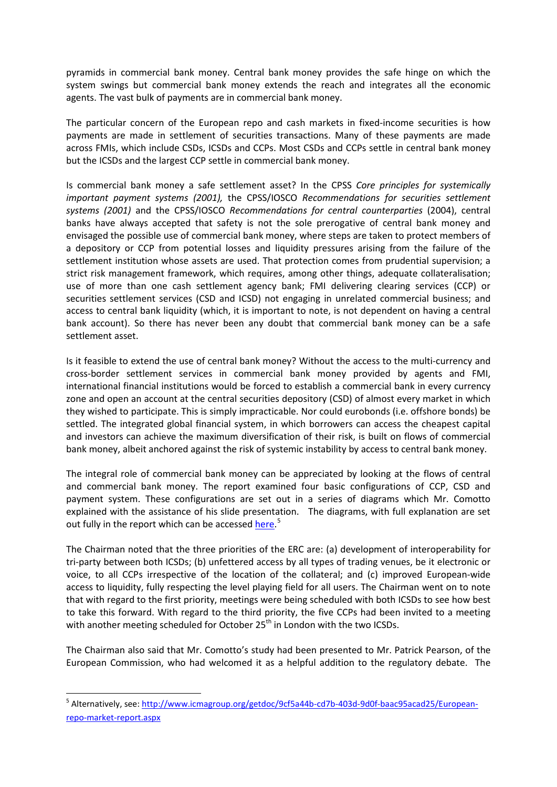pyramids in commercial bank money. Central bank money provides the safe hinge on which the system swings but commercial bank money extends the reach and integrates all the economic agents. The vast bulk of payments are in commercial bank money.

The particular concern of the European repo and cash markets in fixed-income securities is how payments are made in settlement of securities transactions. Many of these payments are made across FMIs, which include CSDs, ICSDs and CCPs. Most CSDs and CCPs settle in central bank money but the ICSDs and the largest CCP settle in commercial bank money.

Is commercial bank money a safe settlement asset? In the CPSS *Core principles for systemically important payment systems (2001),* the CPSS/IOSCO *Recommendations for securities settlement systems (2001)* and the CPSS/IOSCO *Recommendations for central counterparties* (2004), central banks have always accepted that safety is not the sole prerogative of central bank money and envisaged the possible use of commercial bank money, where steps are taken to protect members of a depository or CCP from potential losses and liquidity pressures arising from the failure of the settlement institution whose assets are used. That protection comes from prudential supervision; a strict risk management framework, which requires, among other things, adequate collateralisation; use of more than one cash settlement agency bank; FMI delivering clearing services (CCP) or securities settlement services (CSD and ICSD) not engaging in unrelated commercial business; and access to central bank liquidity (which, it is important to note, is not dependent on having a central bank account). So there has never been any doubt that commercial bank money can be a safe settlement asset.

Is it feasible to extend the use of central bank money? Without the access to the multi-currency and cross-border settlement services in commercial bank money provided by agents and FMI, international financial institutions would be forced to establish a commercial bank in every currency zone and open an account at the central securities depository (CSD) of almost every market in which they wished to participate. This is simply impracticable. Nor could eurobonds (i.e. offshore bonds) be settled. The integrated global financial system, in which borrowers can access the cheapest capital and investors can achieve the maximum diversification of their risk, is built on flows of commercial bank money, albeit anchored against the risk of systemic instability by access to central bank money.

The integral role of commercial bank money can be appreciated by looking at the flows of central and commercial bank money. The report examined four basic configurations of CCP, CSD and payment system. These configurations are set out in a series of diagrams which Mr. Comotto explained with the assistance of his slide presentation. The diagrams, with full explanation are set out fully in the report which can be accessed **here.**<sup>[5](#page-3-0)</sup>

The Chairman noted that the three priorities of the ERC are: (a) development of interoperability for tri-party between both ICSDs; (b) unfettered access by all types of trading venues, be it electronic or voice, to all CCPs irrespective of the location of the collateral; and (c) improved European-wide access to liquidity, fully respecting the level playing field for all users. The Chairman went on to note that with regard to the first priority, meetings were being scheduled with both ICSDs to see how best to take this forward. With regard to the third priority, the five CCPs had been invited to a meeting with another meeting scheduled for October  $25<sup>th</sup>$  in London with the two ICSDs.

The Chairman also said that Mr. Comotto's study had been presented to Mr. Patrick Pearson, of the European Commission, who had welcomed it as a helpful addition to the regulatory debate. The

<span id="page-8-0"></span><sup>&</sup>lt;sup>5</sup> Alternatively, see: [http://www.icmagroup.org/getdoc/9cf5a44b-cd7b-403d-9d0f-baac95acad25/European](http://www.icmagroup.org/getdoc/9cf5a44b-cd7b-403d-9d0f-baac95acad25/European-repo-market-report.aspx)[repo-market-report.aspx](http://www.icmagroup.org/getdoc/9cf5a44b-cd7b-403d-9d0f-baac95acad25/European-repo-market-report.aspx)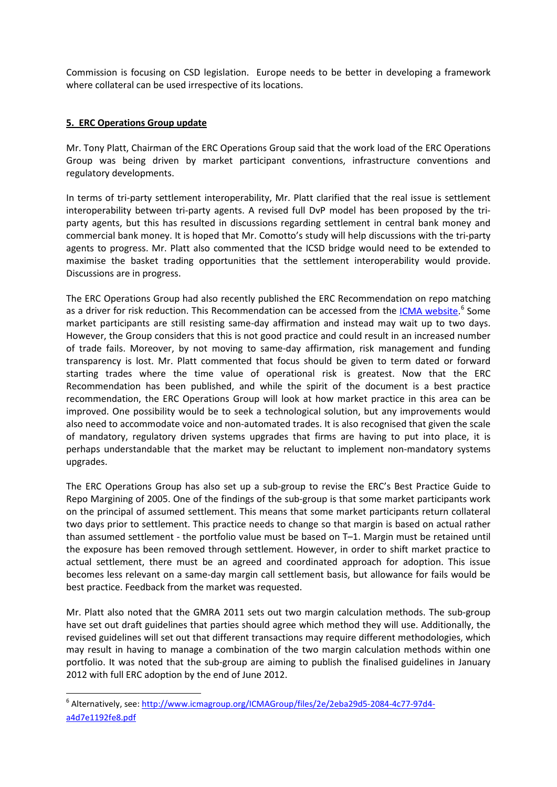Commission is focusing on CSD legislation. Europe needs to be better in developing a framework where collateral can be used irrespective of its locations.

### **5. ERC Operations Group update**

Mr. Tony Platt, Chairman of the ERC Operations Group said that the work load of the ERC Operations Group was being driven by market participant conventions, infrastructure conventions and regulatory developments.

In terms of tri-party settlement interoperability, Mr. Platt clarified that the real issue is settlement interoperability between tri-party agents. A revised full DvP model has been proposed by the triparty agents, but this has resulted in discussions regarding settlement in central bank money and commercial bank money. It is hoped that Mr. Comotto's study will help discussions with the tri-party agents to progress. Mr. Platt also commented that the ICSD bridge would need to be extended to maximise the basket trading opportunities that the settlement interoperability would provide. Discussions are in progress.

The ERC Operations Group had also recently published the ERC Recommendation on repo matching as a driver for risk reduction. This Recommendation can be accessed from the **ICMA website**.<sup>[6](#page-8-0)</sup> Some market participants are still resisting same-day affirmation and instead may wait up to two days. However, the Group considers that this is not good practice and could result in an increased number of trade fails. Moreover, by not moving to same-day affirmation, risk management and funding transparency is lost. Mr. Platt commented that focus should be given to term dated or forward starting trades where the time value of operational risk is greatest. Now that the ERC Recommendation has been published, and while the spirit of the document is a best practice recommendation, the ERC Operations Group will look at how market practice in this area can be improved. One possibility would be to seek a technological solution, but any improvements would also need to accommodate voice and non-automated trades. It is also recognised that given the scale of mandatory, regulatory driven systems upgrades that firms are having to put into place, it is perhaps understandable that the market may be reluctant to implement non-mandatory systems upgrades.

The ERC Operations Group has also set up a sub-group to revise the ERC's Best Practice Guide to Repo Margining of 2005. One of the findings of the sub-group is that some market participants work on the principal of assumed settlement. This means that some market participants return collateral two days prior to settlement. This practice needs to change so that margin is based on actual rather than assumed settlement - the portfolio value must be based on T–1. Margin must be retained until the exposure has been removed through settlement. However, in order to shift market practice to actual settlement, there must be an agreed and coordinated approach for adoption. This issue becomes less relevant on a same-day margin call settlement basis, but allowance for fails would be best practice. Feedback from the market was requested.

Mr. Platt also noted that the GMRA 2011 sets out two margin calculation methods. The sub-group have set out draft guidelines that parties should agree which method they will use. Additionally, the revised guidelines will set out that different transactions may require different methodologies, which may result in having to manage a combination of the two margin calculation methods within one portfolio. It was noted that the sub-group are aiming to publish the finalised guidelines in January 2012 with full ERC adoption by the end of June 2012.

<span id="page-9-0"></span><sup>&</sup>lt;sup>6</sup> Alternatively, see: [http://www.icmagroup.org/ICMAGroup/files/2e/2eba29d5-2084-4c77-97d4](http://www.icmagroup.org/ICMAGroup/files/2e/2eba29d5-2084-4c77-97d4-a4d7e1192fe8.pdf) [a4d7e1192fe8.pdf](http://www.icmagroup.org/ICMAGroup/files/2e/2eba29d5-2084-4c77-97d4-a4d7e1192fe8.pdf)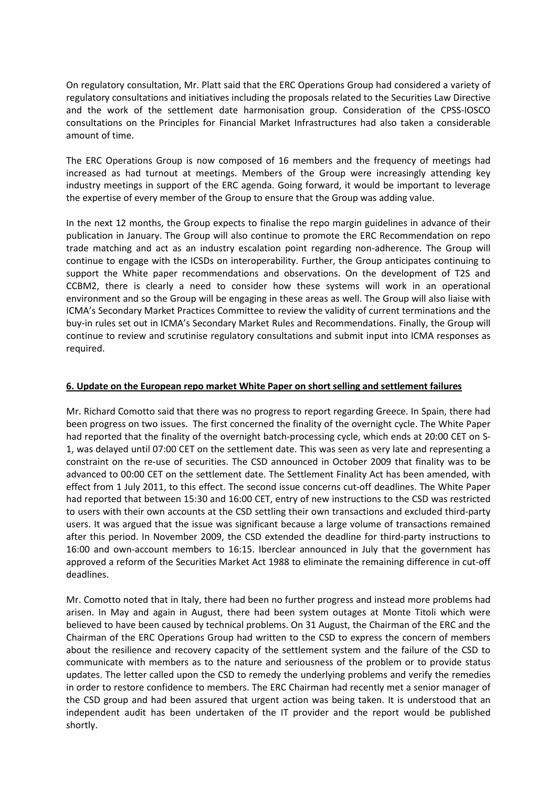On regulatory consultation, Mr. Platt said that the ERC Operations Group had considered a variety of regulatory consultations and initiatives including the proposals related to the Securities Law Directive and the work of the settlement date harmonisation group. Consideration of the CPSS-IOSCO consultations on the Principles for Financial Market Infrastructures had also taken a considerable amount of time.

The ERC Operations Group is now composed of 16 members and the frequency of meetings had increased as had turnout at meetings. Members of the Group were increasingly attending key industry meetings in support of the ERC agenda. Going forward, it would be important to leverage the expertise of every member of the Group to ensure that the Group was adding value.

In the next 12 months, the Group expects to finalise the repo margin guidelines in advance of their publication in January. The Group will also continue to promote the ERC Recommendation on repo trade matching and act as an industry escalation point regarding non-adherence. The Group will continue to engage with the ICSDs on interoperability. Further, the Group anticipates continuing to support the White paper recommendations and observations. On the development of T2S and CCBM2, there is clearly a need to consider how these systems will work in an operational environment and so the Group will be engaging in these areas as well. The Group will also liaise with ICMA's Secondary Market Practices Committee to review the validity of current terminations and the buy-in rules set out in ICMA's Secondary Market Rules and Recommendations. Finally, the Group will continue to review and scrutinise regulatory consultations and submit input into ICMA responses as required.

### **6. Update on the European repo market White Paper on short selling and settlement failures**

Mr. Richard Comotto said that there was no progress to report regarding Greece. In Spain, there had been progress on two issues. The first concerned the finality of the overnight cycle. The White Paper had reported that the finality of the overnight batch-processing cycle, which ends at 20:00 CET on S-1, was delayed until 07:00 CET on the settlement date. This was seen as very late and representing a constraint on the re-use of securities. The CSD announced in October 2009 that finality was to be advanced to 00:00 CET on the settlement date. The Settlement Finality Act has been amended, with effect from 1 July 2011, to this effect. The second issue concerns cut-off deadlines. The White Paper had reported that between 15:30 and 16:00 CET, entry of new instructions to the CSD was restricted to users with their own accounts at the CSD settling their own transactions and excluded third-party users. It was argued that the issue was significant because a large volume of transactions remained after this period. In November 2009, the CSD extended the deadline for third-party instructions to 16:00 and own-account members to 16:15. Iberclear announced in July that the government has approved a reform of the Securities Market Act 1988 to eliminate the remaining difference in cut-off deadlines.

Mr. Comotto noted that in Italy, there had been no further progress and instead more problems had arisen. In May and again in August, there had been system outages at Monte Titoli which were believed to have been caused by technical problems. On 31 August, the Chairman of the ERC and the Chairman of the ERC Operations Group had written to the CSD to express the concern of members about the resilience and recovery capacity of the settlement system and the failure of the CSD to communicate with members as to the nature and seriousness of the problem or to provide status updates. The letter called upon the CSD to remedy the underlying problems and verify the remedies in order to restore confidence to members. The ERC Chairman had recently met a senior manager of the CSD group and had been assured that urgent action was being taken. It is understood that an independent audit has been undertaken of the IT provider and the report would be published shortly.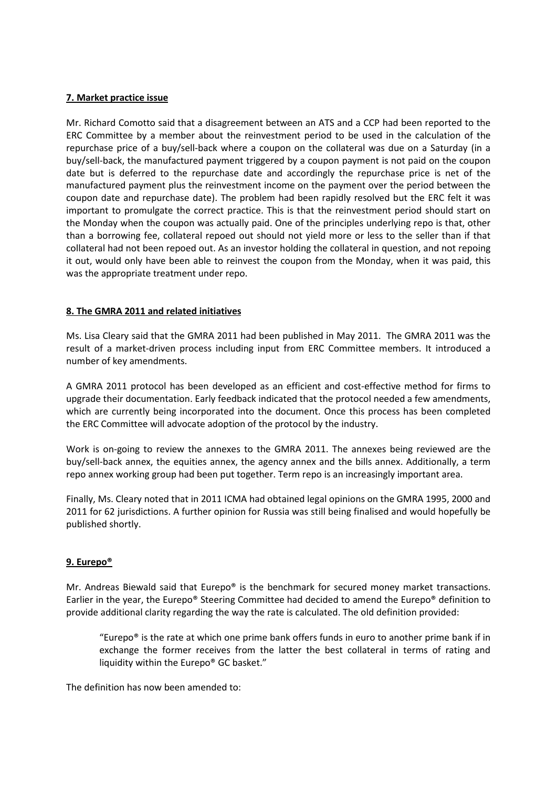### **7. Market practice issue**

Mr. Richard Comotto said that a disagreement between an ATS and a CCP had been reported to the ERC Committee by a member about the reinvestment period to be used in the calculation of the repurchase price of a buy/sell-back where a coupon on the collateral was due on a Saturday (in a buy/sell-back, the manufactured payment triggered by a coupon payment is not paid on the coupon date but is deferred to the repurchase date and accordingly the repurchase price is net of the manufactured payment plus the reinvestment income on the payment over the period between the coupon date and repurchase date). The problem had been rapidly resolved but the ERC felt it was important to promulgate the correct practice. This is that the reinvestment period should start on the Monday when the coupon was actually paid. One of the principles underlying repo is that, other than a borrowing fee, collateral repoed out should not yield more or less to the seller than if that collateral had not been repoed out. As an investor holding the collateral in question, and not repoing it out, would only have been able to reinvest the coupon from the Monday, when it was paid, this was the appropriate treatment under repo.

### **8. The GMRA 2011 and related initiatives**

Ms. Lisa Cleary said that the GMRA 2011 had been published in May 2011. The GMRA 2011 was the result of a market-driven process including input from ERC Committee members. It introduced a number of key amendments.

A GMRA 2011 protocol has been developed as an efficient and cost-effective method for firms to upgrade their documentation. Early feedback indicated that the protocol needed a few amendments, which are currently being incorporated into the document. Once this process has been completed the ERC Committee will advocate adoption of the protocol by the industry.

Work is on-going to review the annexes to the GMRA 2011. The annexes being reviewed are the buy/sell-back annex, the equities annex, the agency annex and the bills annex. Additionally, a term repo annex working group had been put together. Term repo is an increasingly important area.

Finally, Ms. Cleary noted that in 2011 ICMA had obtained legal opinions on the GMRA 1995, 2000 and 2011 for 62 jurisdictions. A further opinion for Russia was still being finalised and would hopefully be published shortly.

# **9. Eurepo®**

Mr. Andreas Biewald said that Eurepo® is the benchmark for secured money market transactions. Earlier in the year, the Eurepo® Steering Committee had decided to amend the Eurepo® definition to provide additional clarity regarding the way the rate is calculated. The old definition provided:

"Eurepo $\degree$  is the rate at which one prime bank offers funds in euro to another prime bank if in exchange the former receives from the latter the best collateral in terms of rating and liquidity within the Eurepo® GC basket."

The definition has now been amended to: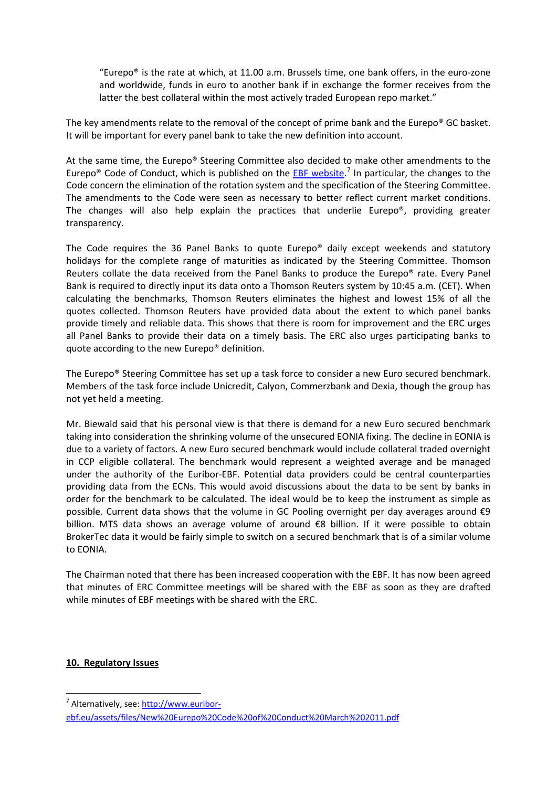"Eurepo $\degree$  is the rate at which, at 11.00 a.m. Brussels time, one bank offers, in the euro-zone and worldwide, funds in euro to another bank if in exchange the former receives from the latter the best collateral within the most actively traded European repo market."

The key amendments relate to the removal of the concept of prime bank and the Eurepo® GC basket. It will be important for every panel bank to take the new definition into account.

At the same time, the Eurepo® Steering Committee also decided to make other amendments to the Eurepo® Code of Conduct, which is published on the **EBF website.**<sup>[7](#page-9-0)</sup> In particular, the changes to the Code concern the elimination of the rotation system and the specification of the Steering Committee. The amendments to the Code were seen as necessary to better reflect current market conditions. The changes will also help explain the practices that underlie Eurepo®, providing greater transparency.

The Code requires the 36 Panel Banks to quote Eurepo® daily except weekends and statutory holidays for the complete range of maturities as indicated by the Steering Committee. Thomson Reuters collate the data received from the Panel Banks to produce the Eurepo® rate. Every Panel Bank is required to directly input its data onto a Thomson Reuters system by 10:45 a.m. (CET). When calculating the benchmarks, Thomson Reuters eliminates the highest and lowest 15% of all the quotes collected. Thomson Reuters have provided data about the extent to which panel banks provide timely and reliable data. This shows that there is room for improvement and the ERC urges all Panel Banks to provide their data on a timely basis. The ERC also urges participating banks to quote according to the new Eurepo® definition.

The Eurepo® Steering Committee has set up a task force to consider a new Euro secured benchmark. Members of the task force include Unicredit, Calyon, Commerzbank and Dexia, though the group has not yet held a meeting.

Mr. Biewald said that his personal view is that there is demand for a new Euro secured benchmark taking into consideration the shrinking volume of the unsecured EONIA fixing. The decline in EONIA is due to a variety of factors. A new Euro secured benchmark would include collateral traded overnight in CCP eligible collateral. The benchmark would represent a weighted average and be managed under the authority of the Euribor-EBF. Potential data providers could be central counterparties providing data from the ECNs. This would avoid discussions about the data to be sent by banks in order for the benchmark to be calculated. The ideal would be to keep the instrument as simple as possible. Current data shows that the volume in GC Pooling overnight per day averages around €9 billion. MTS data shows an average volume of around €8 billion. If it were possible to obtain BrokerTec data it would be fairly simple to switch on a secured benchmark that is of a similar volume to EONIA.

The Chairman noted that there has been increased cooperation with the EBF. It has now been agreed that minutes of ERC Committee meetings will be shared with the EBF as soon as they are drafted while minutes of EBF meetings with be shared with the ERC.

### **10. Regulatory Issues**

<span id="page-12-0"></span><sup>&</sup>lt;sup>7</sup> Alternatively, see: [http://www.euribor](http://www.euribor-ebf.eu/assets/files/New%20Eurepo%20Code%20of%20Conduct%20March%202011.pdf)[ebf.eu/assets/files/New%20Eurepo%20Code%20of%20Conduct%20March%202011.pdf](http://www.euribor-ebf.eu/assets/files/New%20Eurepo%20Code%20of%20Conduct%20March%202011.pdf)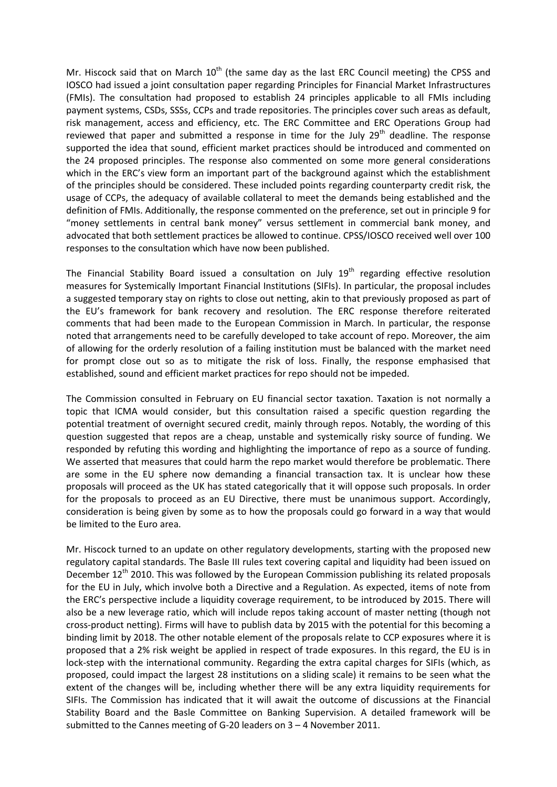Mr. Hiscock said that on March  $10<sup>th</sup>$  (the same day as the last ERC Council meeting) the CPSS and IOSCO had issued a joint consultation paper regarding Principles for Financial Market Infrastructures (FMIs). The consultation had proposed to establish 24 principles applicable to all FMIs including payment systems, CSDs, SSSs, CCPs and trade repositories. The principles cover such areas as default, risk management, access and efficiency, etc. The ERC Committee and ERC Operations Group had reviewed that paper and submitted a response in time for the July  $29<sup>th</sup>$  deadline. The response supported the idea that sound, efficient market practices should be introduced and commented on the 24 proposed principles. The response also commented on some more general considerations which in the ERC's view form an important part of the background against which the establishment of the principles should be considered. These included points regarding counterparty credit risk, the usage of CCPs, the adequacy of available collateral to meet the demands being established and the definition of FMIs. Additionally, the response commented on the preference, set out in principle 9 for "money settlements in central bank money" versus settlement in commercial bank money, and advocated that both settlement practices be allowed to continue. CPSS/IOSCO received well over 100 responses to the consultation which have now been published.

The Financial Stability Board issued a consultation on July  $19<sup>th</sup>$  regarding effective resolution measures for Systemically Important Financial Institutions (SIFIs). In particular, the proposal includes a suggested temporary stay on rights to close out netting, akin to that previously proposed as part of the EU's framework for bank recovery and resolution. The ERC response therefore reiterated comments that had been made to the European Commission in March. In particular, the response noted that arrangements need to be carefully developed to take account of repo. Moreover, the aim of allowing for the orderly resolution of a failing institution must be balanced with the market need for prompt close out so as to mitigate the risk of loss. Finally, the response emphasised that established, sound and efficient market practices for repo should not be impeded.

The Commission consulted in February on EU financial sector taxation. Taxation is not normally a topic that ICMA would consider, but this consultation raised a specific question regarding the potential treatment of overnight secured credit, mainly through repos. Notably, the wording of this question suggested that repos are a cheap, unstable and systemically risky source of funding. We responded by refuting this wording and highlighting the importance of repo as a source of funding. We asserted that measures that could harm the repo market would therefore be problematic. There are some in the EU sphere now demanding a financial transaction tax. It is unclear how these proposals will proceed as the UK has stated categorically that it will oppose such proposals. In order for the proposals to proceed as an EU Directive, there must be unanimous support. Accordingly, consideration is being given by some as to how the proposals could go forward in a way that would be limited to the Euro area.

Mr. Hiscock turned to an update on other regulatory developments, starting with the proposed new regulatory capital standards. The Basle III rules text covering capital and liquidity had been issued on December  $12<sup>th</sup>$  2010. This was followed by the European Commission publishing its related proposals for the EU in July, which involve both a Directive and a Regulation. As expected, items of note from the ERC's perspective include a liquidity coverage requirement, to be introduced by 2015. There will also be a new leverage ratio, which will include repos taking account of master netting (though not cross-product netting). Firms will have to publish data by 2015 with the potential for this becoming a binding limit by 2018. The other notable element of the proposals relate to CCP exposures where it is proposed that a 2% risk weight be applied in respect of trade exposures. In this regard, the EU is in lock-step with the international community. Regarding the extra capital charges for SIFIs (which, as proposed, could impact the largest 28 institutions on a sliding scale) it remains to be seen what the extent of the changes will be, including whether there will be any extra liquidity requirements for SIFIs. The Commission has indicated that it will await the outcome of discussions at the Financial Stability Board and the Basle Committee on Banking Supervision. A detailed framework will be submitted to the Cannes meeting of G-20 leaders on 3 – 4 November 2011.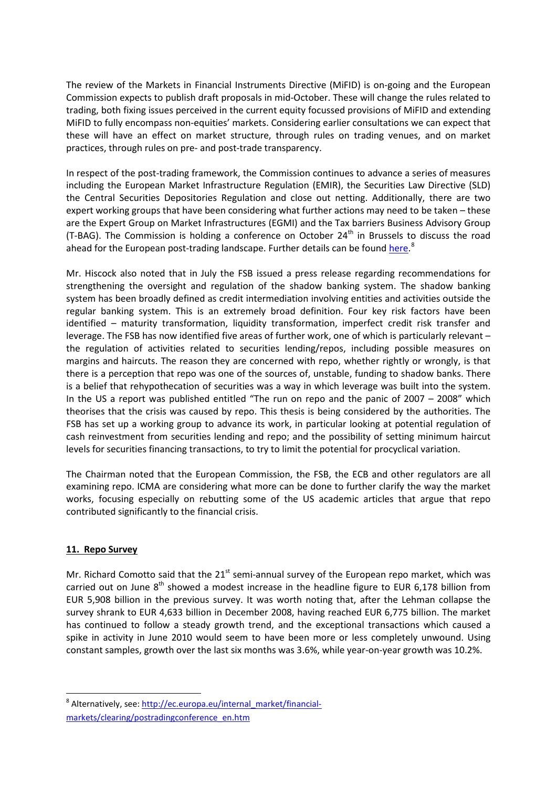The review of the Markets in Financial Instruments Directive (MiFID) is on-going and the European Commission expects to publish draft proposals in mid-October. These will change the rules related to trading, both fixing issues perceived in the current equity focussed provisions of MiFID and extending MiFID to fully encompass non-equities' markets. Considering earlier consultations we can expect that these will have an effect on market structure, through rules on trading venues, and on market practices, through rules on pre- and post-trade transparency.

In respect of the post-trading framework, the Commission continues to advance a series of measures including the European Market Infrastructure Regulation (EMIR), the Securities Law Directive (SLD) the Central Securities Depositories Regulation and close out netting. Additionally, there are two expert working groups that have been considering what further actions may need to be taken – these are the Expert Group on Market Infrastructures (EGMI) and the Tax barriers Business Advisory Group (T-BAG). The Commission is holding a conference on October  $24<sup>th</sup>$  in Brussels to discuss the road ahead for the European post-trading landscape. Further details can be found [here.](http://ec.europa.eu/internal_market/financial-markets/clearing/postradingconference_en.htm)<sup>[8](#page-12-0)</sup>

Mr. Hiscock also noted that in July the FSB issued a press release regarding recommendations for strengthening the oversight and regulation of the shadow banking system. The shadow banking system has been broadly defined as credit intermediation involving entities and activities outside the regular banking system. This is an extremely broad definition. Four key risk factors have been identified – maturity transformation, liquidity transformation, imperfect credit risk transfer and leverage. The FSB has now identified five areas of further work, one of which is particularly relevant – the regulation of activities related to securities lending/repos, including possible measures on margins and haircuts. The reason they are concerned with repo, whether rightly or wrongly, is that there is a perception that repo was one of the sources of, unstable, funding to shadow banks. There is a belief that rehypothecation of securities was a way in which leverage was built into the system. In the US a report was published entitled "The run on repo and the panic of 2007 – 2008" which theorises that the crisis was caused by repo. This thesis is being considered by the authorities. The FSB has set up a working group to advance its work, in particular looking at potential regulation of cash reinvestment from securities lending and repo; and the possibility of setting minimum haircut levels for securities financing transactions, to try to limit the potential for procyclical variation.

The Chairman noted that the European Commission, the FSB, the ECB and other regulators are all examining repo. ICMA are considering what more can be done to further clarify the way the market works, focusing especially on rebutting some of the US academic articles that argue that repo contributed significantly to the financial crisis.

### **11. Repo Survey**

Mr. Richard Comotto said that the  $21<sup>st</sup>$  semi-annual survey of the European repo market, which was carried out on June  $8<sup>th</sup>$  showed a modest increase in the headline figure to EUR 6,178 billion from EUR 5,908 billion in the previous survey. It was worth noting that, after the Lehman collapse the survey shrank to EUR 4,633 billion in December 2008, having reached EUR 6,775 billion. The market has continued to follow a steady growth trend, and the exceptional transactions which caused a spike in activity in June 2010 would seem to have been more or less completely unwound. Using constant samples, growth over the last six months was 3.6%, while year-on-year growth was 10.2%.

<span id="page-14-0"></span><sup>&</sup>lt;sup>8</sup> Alternatively, see: [http://ec.europa.eu/internal\\_market/financial](http://ec.europa.eu/internal_market/financial-markets/clearing/postradingconference_en.htm)[markets/clearing/postradingconference\\_en.htm](http://ec.europa.eu/internal_market/financial-markets/clearing/postradingconference_en.htm)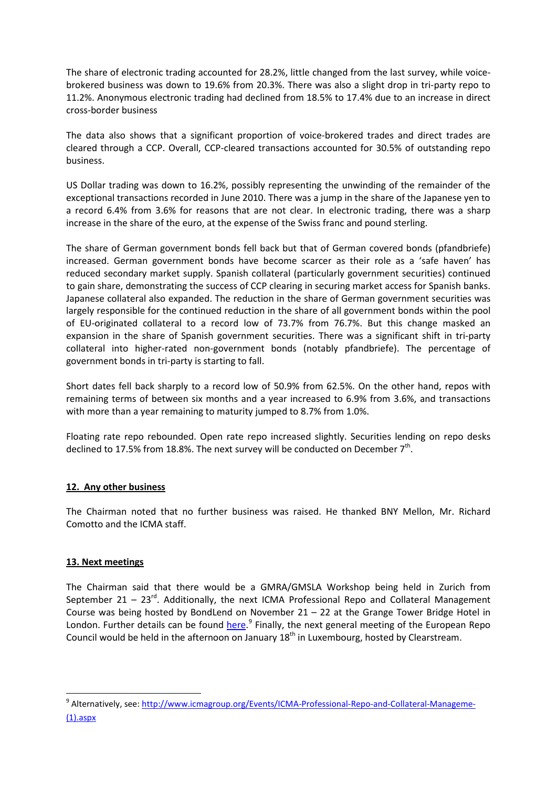The share of electronic trading accounted for 28.2%, little changed from the last survey, while voicebrokered business was down to 19.6% from 20.3%. There was also a slight drop in tri-party repo to 11.2%. Anonymous electronic trading had declined from 18.5% to 17.4% due to an increase in direct cross-border business

The data also shows that a significant proportion of voice-brokered trades and direct trades are cleared through a CCP. Overall, CCP-cleared transactions accounted for 30.5% of outstanding repo business.

US Dollar trading was down to 16.2%, possibly representing the unwinding of the remainder of the exceptional transactions recorded in June 2010. There was a jump in the share of the Japanese yen to a record 6.4% from 3.6% for reasons that are not clear. In electronic trading, there was a sharp increase in the share of the euro, at the expense of the Swiss franc and pound sterling.

The share of German government bonds fell back but that of German covered bonds (pfandbriefe) increased. German government bonds have become scarcer as their role as a 'safe haven' has reduced secondary market supply. Spanish collateral (particularly government securities) continued to gain share, demonstrating the success of CCP clearing in securing market access for Spanish banks. Japanese collateral also expanded. The reduction in the share of German government securities was largely responsible for the continued reduction in the share of all government bonds within the pool of EU-originated collateral to a record low of 73.7% from 76.7%. But this change masked an expansion in the share of Spanish government securities. There was a significant shift in tri-party collateral into higher-rated non-government bonds (notably pfandbriefe). The percentage of government bonds in tri-party is starting to fall.

Short dates fell back sharply to a record low of 50.9% from 62.5%. On the other hand, repos with remaining terms of between six months and a year increased to 6.9% from 3.6%, and transactions with more than a year remaining to maturity jumped to 8.7% from 1.0%.

Floating rate repo rebounded. Open rate repo increased slightly. Securities lending on repo desks declined to 17.5% from 18.8%. The next survey will be conducted on December  $7<sup>th</sup>$ .

# **12. Any other business**

The Chairman noted that no further business was raised. He thanked BNY Mellon, Mr. Richard Comotto and the ICMA staff.

# **13. Next meetings**

The Chairman said that there would be a GMRA/GMSLA Workshop being held in Zurich from September 21 – 23 $^{rd}$ . Additionally, the next ICMA Professional Repo and Collateral Management Course was being hosted by BondLend on November  $21 - 22$  at the Grange Tower Bridge Hotel in London. Further details can be found *here*.<sup>[9](#page-14-0)</sup> Finally, the next general meeting of the European Repo Council would be held in the afternoon on January  $18<sup>th</sup>$  in Luxembourg, hosted by Clearstream.

<sup>&</sup>lt;sup>9</sup> Alternatively, see: [http://www.icmagroup.org/Events/ICMA-Professional-Repo-and-Collateral-Manageme-](http://www.icmagroup.org/Events/ICMA-Professional-Repo-and-Collateral-Manageme-(1).aspx) [\(1\).aspx](http://www.icmagroup.org/Events/ICMA-Professional-Repo-and-Collateral-Manageme-(1).aspx)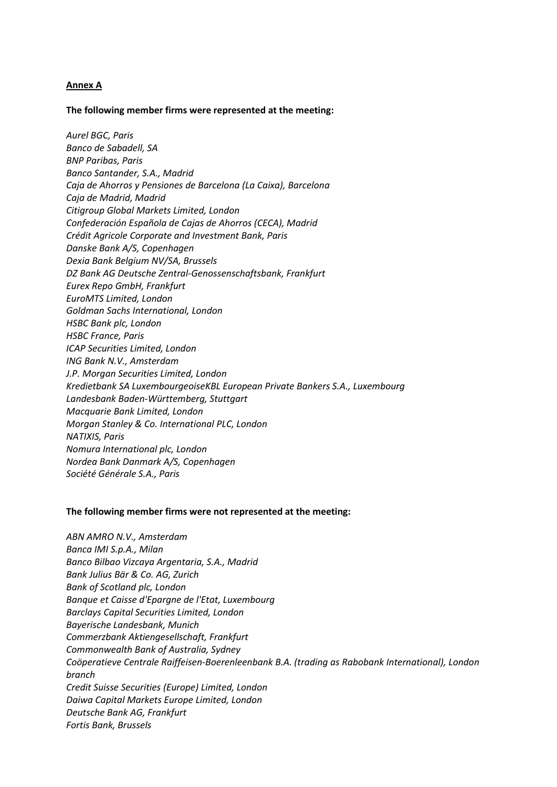### **Annex A**

#### **The following member firms were represented at the meeting:**

*Aurel BGC, Paris Banco de Sabadell, SA BNP Paribas, Paris Banco Santander, S.A., Madrid Caja de Ahorros y Pensiones de Barcelona (La Caixa), Barcelona Caja de Madrid, Madrid Citigroup Global Markets Limited, London Confederación Española de Cajas de Ahorros (CECA), Madrid Crédit Agricole Corporate and Investment Bank, Paris Danske Bank A/S, Copenhagen Dexia Bank Belgium NV/SA, Brussels DZ Bank AG Deutsche Zentral-Genossenschaftsbank, Frankfurt Eurex Repo GmbH, Frankfurt EuroMTS Limited, London Goldman Sachs International, London HSBC Bank plc, London HSBC France, Paris ICAP Securities Limited, London ING Bank N.V., Amsterdam J.P. Morgan Securities Limited, London Kredietbank SA LuxembourgeoiseKBL European Private Bankers S.A., Luxembourg Landesbank Baden-Württemberg, Stuttgart Macquarie Bank Limited, London Morgan Stanley & Co. International PLC, London NATIXIS, Paris Nomura International plc, London Nordea Bank Danmark A/S, Copenhagen Société Générale S.A., Paris*

#### **The following member firms were not represented at the meeting:**

*ABN AMRO N.V., Amsterdam Banca IMI S.p.A., Milan Banco Bilbao Vizcaya Argentaria, S.A., Madrid Bank Julius Bär & Co. AG, Zurich Bank of Scotland plc, London Banque et Caisse d'Epargne de l'Etat, Luxembourg Barclays Capital Securities Limited, London Bayerische Landesbank, Munich Commerzbank Aktiengesellschaft, Frankfurt Commonwealth Bank of Australia, Sydney Coöperatieve Centrale Raiffeisen-Boerenleenbank B.A. (trading as Rabobank International), London branch Credit Suisse Securities (Europe) Limited, London Daiwa Capital Markets Europe Limited, London Deutsche Bank AG, Frankfurt Fortis Bank, Brussels*